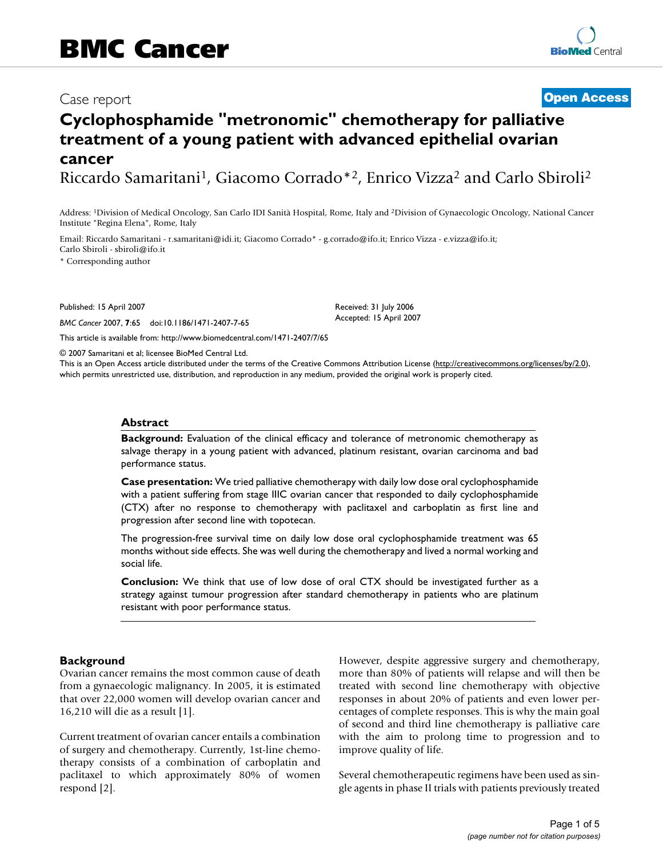# Case report **[Open Access](http://www.biomedcentral.com/info/about/charter/)**

# **Cyclophosphamide "metronomic" chemotherapy for palliative treatment of a young patient with advanced epithelial ovarian cancer**

Riccardo Samaritani1, Giacomo Corrado\*2, Enrico Vizza2 and Carlo Sbiroli2

Address: 1Division of Medical Oncology, San Carlo IDI Sanità Hospital, Rome, Italy and 2Division of Gynaecologic Oncology, National Cancer Institute "Regina Elena", Rome, Italy

Email: Riccardo Samaritani - r.samaritani@idi.it; Giacomo Corrado\* - g.corrado@ifo.it; Enrico Vizza - e.vizza@ifo.it; Carlo Sbiroli - sbiroli@ifo.it

\* Corresponding author

Published: 15 April 2007

*BMC Cancer* 2007, **7**:65 doi:10.1186/1471-2407-7-65

[This article is available from: http://www.biomedcentral.com/1471-2407/7/65](http://www.biomedcentral.com/1471-2407/7/65)

© 2007 Samaritani et al; licensee BioMed Central Ltd.

This is an Open Access article distributed under the terms of the Creative Commons Attribution License [\(http://creativecommons.org/licenses/by/2.0\)](http://creativecommons.org/licenses/by/2.0), which permits unrestricted use, distribution, and reproduction in any medium, provided the original work is properly cited.

Received: 31 July 2006 Accepted: 15 April 2007

#### **Abstract**

**Background:** Evaluation of the clinical efficacy and tolerance of metronomic chemotherapy as salvage therapy in a young patient with advanced, platinum resistant, ovarian carcinoma and bad performance status.

**Case presentation:** We tried palliative chemotherapy with daily low dose oral cyclophosphamide with a patient suffering from stage IIIC ovarian cancer that responded to daily cyclophosphamide (CTX) after no response to chemotherapy with paclitaxel and carboplatin as first line and progression after second line with topotecan.

The progression-free survival time on daily low dose oral cyclophosphamide treatment was 65 months without side effects. She was well during the chemotherapy and lived a normal working and social life.

**Conclusion:** We think that use of low dose of oral CTX should be investigated further as a strategy against tumour progression after standard chemotherapy in patients who are platinum resistant with poor performance status.

### **Background**

Ovarian cancer remains the most common cause of death from a gynaecologic malignancy. In 2005, it is estimated that over 22,000 women will develop ovarian cancer and 16,210 will die as a result [1].

Current treatment of ovarian cancer entails a combination of surgery and chemotherapy. Currently, 1st-line chemotherapy consists of a combination of carboplatin and paclitaxel to which approximately 80% of women respond [2].

However, despite aggressive surgery and chemotherapy, more than 80% of patients will relapse and will then be treated with second line chemotherapy with objective responses in about 20% of patients and even lower percentages of complete responses. This is why the main goal of second and third line chemotherapy is palliative care with the aim to prolong time to progression and to improve quality of life.

Several chemotherapeutic regimens have been used as single agents in phase II trials with patients previously treated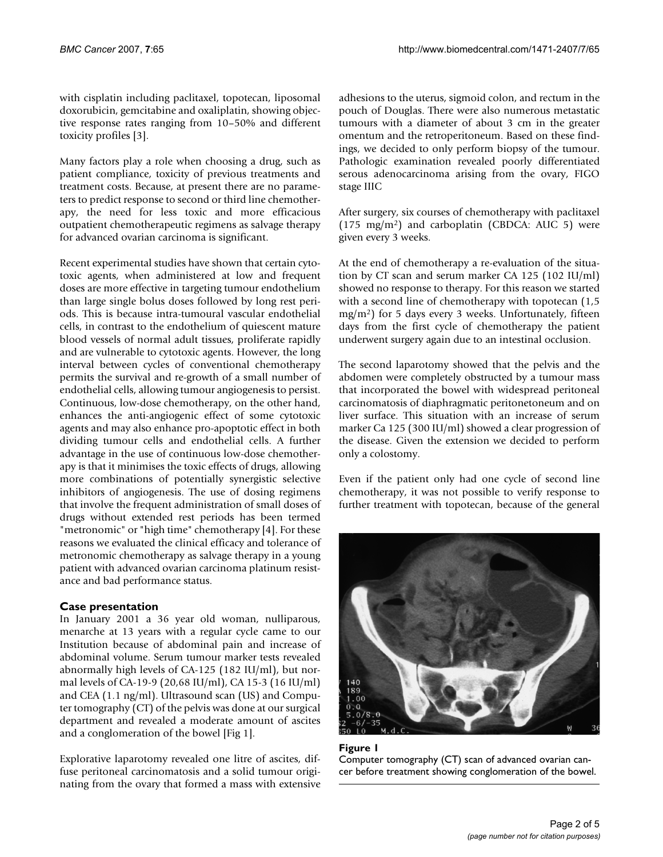with cisplatin including paclitaxel, topotecan, liposomal doxorubicin, gemcitabine and oxaliplatin, showing objective response rates ranging from 10–50% and different toxicity profiles [3].

Many factors play a role when choosing a drug, such as patient compliance, toxicity of previous treatments and treatment costs. Because, at present there are no parameters to predict response to second or third line chemotherapy, the need for less toxic and more efficacious outpatient chemotherapeutic regimens as salvage therapy for advanced ovarian carcinoma is significant.

Recent experimental studies have shown that certain cytotoxic agents, when administered at low and frequent doses are more effective in targeting tumour endothelium than large single bolus doses followed by long rest periods. This is because intra-tumoural vascular endothelial cells, in contrast to the endothelium of quiescent mature blood vessels of normal adult tissues, proliferate rapidly and are vulnerable to cytotoxic agents. However, the long interval between cycles of conventional chemotherapy permits the survival and re-growth of a small number of endothelial cells, allowing tumour angiogenesis to persist. Continuous, low-dose chemotherapy, on the other hand, enhances the anti-angiogenic effect of some cytotoxic agents and may also enhance pro-apoptotic effect in both dividing tumour cells and endothelial cells. A further advantage in the use of continuous low-dose chemotherapy is that it minimises the toxic effects of drugs, allowing more combinations of potentially synergistic selective inhibitors of angiogenesis. The use of dosing regimens that involve the frequent administration of small doses of drugs without extended rest periods has been termed "metronomic" or "high time" chemotherapy [4]. For these reasons we evaluated the clinical efficacy and tolerance of metronomic chemotherapy as salvage therapy in a young patient with advanced ovarian carcinoma platinum resistance and bad performance status.

# **Case presentation**

In January 2001 a 36 year old woman, nulliparous, menarche at 13 years with a regular cycle came to our Institution because of abdominal pain and increase of abdominal volume. Serum tumour marker tests revealed abnormally high levels of CA-125 (182 IU/ml), but normal levels of CA-19-9 (20,68 IU/ml), CA 15-3 (16 IU/ml) and CEA (1.1 ng/ml). Ultrasound scan (US) and Computer tomography (CT) of the pelvis was done at our surgical department and revealed a moderate amount of ascites and a conglomeration of the bowel [Fig 1].

Explorative laparotomy revealed one litre of ascites, diffuse peritoneal carcinomatosis and a solid tumour originating from the ovary that formed a mass with extensive adhesions to the uterus, sigmoid colon, and rectum in the pouch of Douglas. There were also numerous metastatic tumours with a diameter of about 3 cm in the greater omentum and the retroperitoneum. Based on these findings, we decided to only perform biopsy of the tumour. Pathologic examination revealed poorly differentiated serous adenocarcinoma arising from the ovary, FIGO stage IIIC

After surgery, six courses of chemotherapy with paclitaxel  $(175 \text{ mg/m}^2)$  and carboplatin (CBDCA: AUC 5) were given every 3 weeks.

At the end of chemotherapy a re-evaluation of the situation by CT scan and serum marker CA 125 (102 IU/ml) showed no response to therapy. For this reason we started with a second line of chemotherapy with topotecan (1,5 mg/m2) for 5 days every 3 weeks. Unfortunately, fifteen days from the first cycle of chemotherapy the patient underwent surgery again due to an intestinal occlusion.

The second laparotomy showed that the pelvis and the abdomen were completely obstructed by a tumour mass that incorporated the bowel with widespread peritoneal carcinomatosis of diaphragmatic peritonetoneum and on liver surface. This situation with an increase of serum marker Ca 125 (300 IU/ml) showed a clear progression of the disease. Given the extension we decided to perform only a colostomy.

Even if the patient only had one cycle of second line chemotherapy, it was not possible to verify response to further treatment with topotecan, because of the general



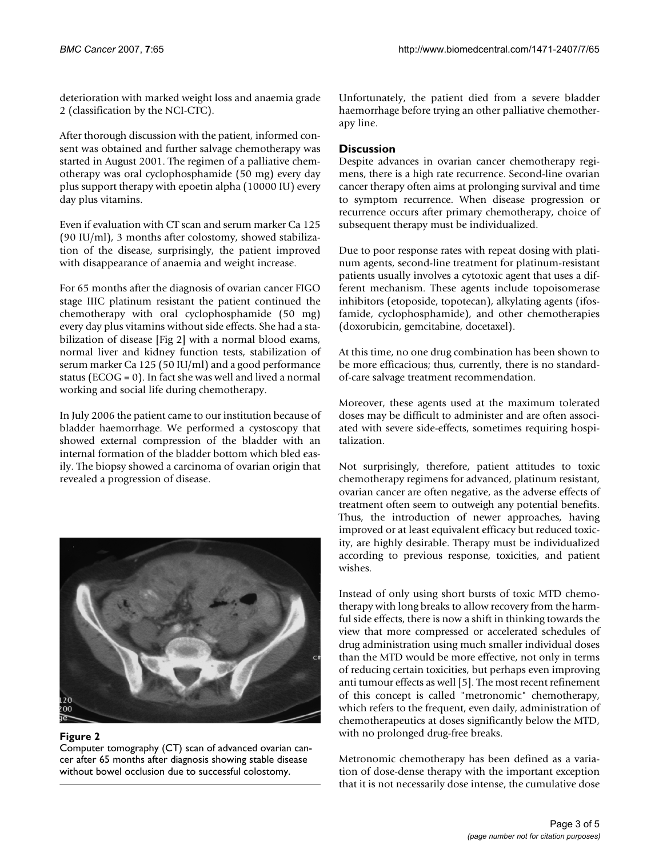deterioration with marked weight loss and anaemia grade 2 (classification by the NCI-CTC).

After thorough discussion with the patient, informed consent was obtained and further salvage chemotherapy was started in August 2001. The regimen of a palliative chemotherapy was oral cyclophosphamide (50 mg) every day plus support therapy with epoetin alpha (10000 IU) every day plus vitamins.

Even if evaluation with CT scan and serum marker Ca 125 (90 IU/ml), 3 months after colostomy, showed stabilization of the disease, surprisingly, the patient improved with disappearance of anaemia and weight increase.

For 65 months after the diagnosis of ovarian cancer FIGO stage IIIC platinum resistant the patient continued the chemotherapy with oral cyclophosphamide (50 mg) every day plus vitamins without side effects. She had a stabilization of disease [Fig 2] with a normal blood exams, normal liver and kidney function tests, stabilization of serum marker Ca 125 (50 IU/ml) and a good performance status ( $ECOG = 0$ ). In fact she was well and lived a normal working and social life during chemotherapy.

In July 2006 the patient came to our institution because of bladder haemorrhage. We performed a cystoscopy that showed external compression of the bladder with an internal formation of the bladder bottom which bled easily. The biopsy showed a carcinoma of ovarian origin that revealed a progression of disease.



### Figure 2

Computer tomography (CT) scan of advanced ovarian cancer after 65 months after diagnosis showing stable disease without bowel occlusion due to successful colostomy.

Unfortunately, the patient died from a severe bladder haemorrhage before trying an other palliative chemotherapy line.

# **Discussion**

Despite advances in ovarian cancer chemotherapy regimens, there is a high rate recurrence. Second-line ovarian cancer therapy often aims at prolonging survival and time to symptom recurrence. When disease progression or recurrence occurs after primary chemotherapy, choice of subsequent therapy must be individualized.

Due to poor response rates with repeat dosing with platinum agents, second-line treatment for platinum-resistant patients usually involves a cytotoxic agent that uses a different mechanism. These agents include topoisomerase inhibitors (etoposide, topotecan), alkylating agents (ifosfamide, cyclophosphamide), and other chemotherapies (doxorubicin, gemcitabine, docetaxel).

At this time, no one drug combination has been shown to be more efficacious; thus, currently, there is no standardof-care salvage treatment recommendation.

Moreover, these agents used at the maximum tolerated doses may be difficult to administer and are often associated with severe side-effects, sometimes requiring hospitalization.

Not surprisingly, therefore, patient attitudes to toxic chemotherapy regimens for advanced, platinum resistant, ovarian cancer are often negative, as the adverse effects of treatment often seem to outweigh any potential benefits. Thus, the introduction of newer approaches, having improved or at least equivalent efficacy but reduced toxicity, are highly desirable. Therapy must be individualized according to previous response, toxicities, and patient wishes.

Instead of only using short bursts of toxic MTD chemotherapy with long breaks to allow recovery from the harmful side effects, there is now a shift in thinking towards the view that more compressed or accelerated schedules of drug administration using much smaller individual doses than the MTD would be more effective, not only in terms of reducing certain toxicities, but perhaps even improving anti tumour effects as well [5]. The most recent refinement of this concept is called "metronomic" chemotherapy, which refers to the frequent, even daily, administration of chemotherapeutics at doses significantly below the MTD, with no prolonged drug-free breaks.

Metronomic chemotherapy has been defined as a variation of dose-dense therapy with the important exception that it is not necessarily dose intense, the cumulative dose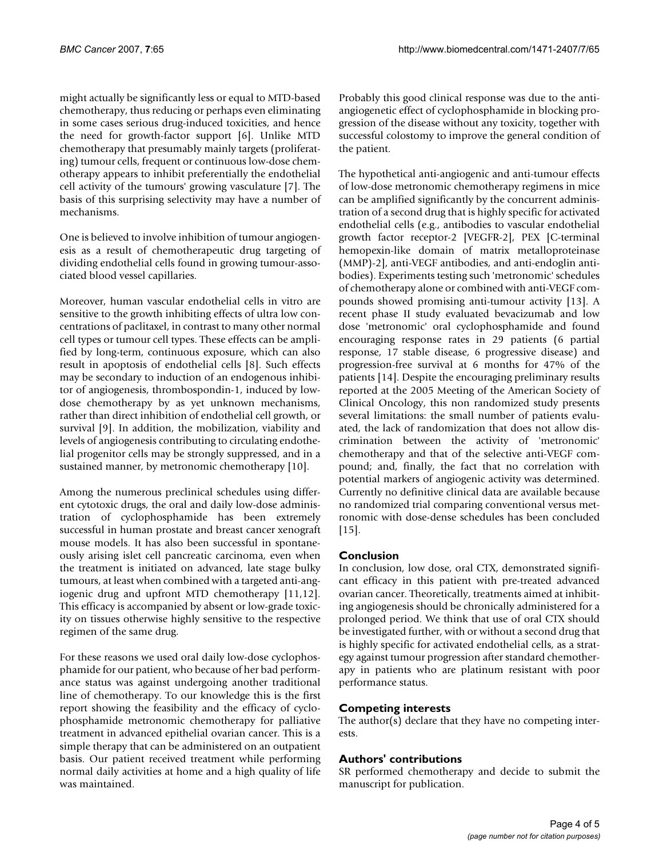might actually be significantly less or equal to MTD-based chemotherapy, thus reducing or perhaps even eliminating in some cases serious drug-induced toxicities, and hence the need for growth-factor support [6]. Unlike MTD chemotherapy that presumably mainly targets (proliferating) tumour cells, frequent or continuous low-dose chemotherapy appears to inhibit preferentially the endothelial cell activity of the tumours' growing vasculature [7]. The basis of this surprising selectivity may have a number of mechanisms.

One is believed to involve inhibition of tumour angiogenesis as a result of chemotherapeutic drug targeting of dividing endothelial cells found in growing tumour-associated blood vessel capillaries.

Moreover, human vascular endothelial cells in vitro are sensitive to the growth inhibiting effects of ultra low concentrations of paclitaxel, in contrast to many other normal cell types or tumour cell types. These effects can be amplified by long-term, continuous exposure, which can also result in apoptosis of endothelial cells [8]. Such effects may be secondary to induction of an endogenous inhibitor of angiogenesis, thrombospondin-1, induced by lowdose chemotherapy by as yet unknown mechanisms, rather than direct inhibition of endothelial cell growth, or survival [9]. In addition, the mobilization, viability and levels of angiogenesis contributing to circulating endothelial progenitor cells may be strongly suppressed, and in a sustained manner, by metronomic chemotherapy [10].

Among the numerous preclinical schedules using different cytotoxic drugs, the oral and daily low-dose administration of cyclophosphamide has been extremely successful in human prostate and breast cancer xenograft mouse models. It has also been successful in spontaneously arising islet cell pancreatic carcinoma, even when the treatment is initiated on advanced, late stage bulky tumours, at least when combined with a targeted anti-angiogenic drug and upfront MTD chemotherapy [11,12]. This efficacy is accompanied by absent or low-grade toxicity on tissues otherwise highly sensitive to the respective regimen of the same drug.

For these reasons we used oral daily low-dose cyclophosphamide for our patient, who because of her bad performance status was against undergoing another traditional line of chemotherapy. To our knowledge this is the first report showing the feasibility and the efficacy of cyclophosphamide metronomic chemotherapy for palliative treatment in advanced epithelial ovarian cancer. This is a simple therapy that can be administered on an outpatient basis. Our patient received treatment while performing normal daily activities at home and a high quality of life was maintained.

Probably this good clinical response was due to the antiangiogenetic effect of cyclophosphamide in blocking progression of the disease without any toxicity, together with successful colostomy to improve the general condition of the patient.

The hypothetical anti-angiogenic and anti-tumour effects of low-dose metronomic chemotherapy regimens in mice can be amplified significantly by the concurrent administration of a second drug that is highly specific for activated endothelial cells (e.g., antibodies to vascular endothelial growth factor receptor-2 [VEGFR-2], PEX [C-terminal hemopexin-like domain of matrix metalloproteinase (MMP)-2], anti-VEGF antibodies, and anti-endoglin antibodies). Experiments testing such 'metronomic' schedules of chemotherapy alone or combined with anti-VEGF compounds showed promising anti-tumour activity [13]. A recent phase II study evaluated bevacizumab and low dose 'metronomic' oral cyclophosphamide and found encouraging response rates in 29 patients (6 partial response, 17 stable disease, 6 progressive disease) and progression-free survival at 6 months for 47% of the patients [14]. Despite the encouraging preliminary results reported at the 2005 Meeting of the American Society of Clinical Oncology, this non randomized study presents several limitations: the small number of patients evaluated, the lack of randomization that does not allow discrimination between the activity of 'metronomic' chemotherapy and that of the selective anti-VEGF compound; and, finally, the fact that no correlation with potential markers of angiogenic activity was determined. Currently no definitive clinical data are available because no randomized trial comparing conventional versus metronomic with dose-dense schedules has been concluded [15].

# **Conclusion**

In conclusion, low dose, oral CTX, demonstrated significant efficacy in this patient with pre-treated advanced ovarian cancer. Theoretically, treatments aimed at inhibiting angiogenesis should be chronically administered for a prolonged period. We think that use of oral CTX should be investigated further, with or without a second drug that is highly specific for activated endothelial cells, as a strategy against tumour progression after standard chemotherapy in patients who are platinum resistant with poor performance status.

# **Competing interests**

The author(s) declare that they have no competing interests.

# **Authors' contributions**

SR performed chemotherapy and decide to submit the manuscript for publication.